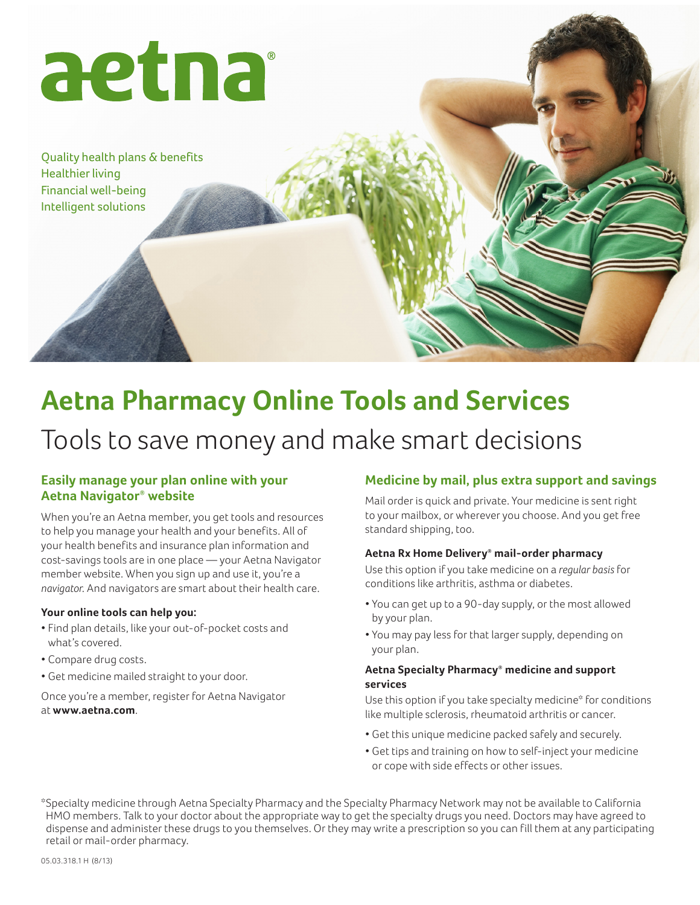

Quality health plans & benefits Healthier living Financial well-being Intelligent solutions

# **Aetna Pharmacy Online Tools and Services**

# Tools to save money and make smart decisions

## **Easily manage your plan online with your Aetna Navigator® website**

When you're an Aetna member, you get tools and resources to help you manage your health and your benefits. All of your health benefits and insurance plan information and cost-savings tools are in one place — your Aetna Navigator member website. When you sign up and use it, you're a *navigator*. And navigators are smart about their health care.

#### **Your online tools can help you:**

- • Find plan details, like your out-of-pocket costs and what's covered.
- • Compare drug costs.
- • Get medicine mailed straight to your door.

Once you're a member, register for Aetna Navigator at **www.aetna.com**.

# **Medicine by mail, plus extra support and savings**

Mail order is quick and private. Your medicine is sent right to your mailbox, or wherever you choose. And you get free standard shipping, too.

#### **Aetna Rx Home Delivery® mail-order pharmacy**

Use this option if you take medicine on a *regular basis* for conditions like arthritis, asthma or diabetes.

- • You can get up to a 90-day supply, or the most allowed by your plan.
- • You may pay less for that larger supply, depending on your plan.

#### **Aetna Specialty Pharmacy® medicine and support services**

Use this option if you take specialty medicine\* for conditions like multiple sclerosis, rheumatoid arthritis or cancer.

- • Get this unique medicine packed safely and securely.
- • Get tips and training on how to self-inject your medicine or cope with side effects or other issues.

\*Specialty medicine through Aetna Specialty Pharmacy and the Specialty Pharmacy Network may not be available to California HMO members. Talk to your doctor about the appropriate way to get the specialty drugs you need. Doctors may have agreed to dispense and administer these drugs to you themselves. Or they may write a prescription so you can fill them at any participating retail or mail-order pharmacy.